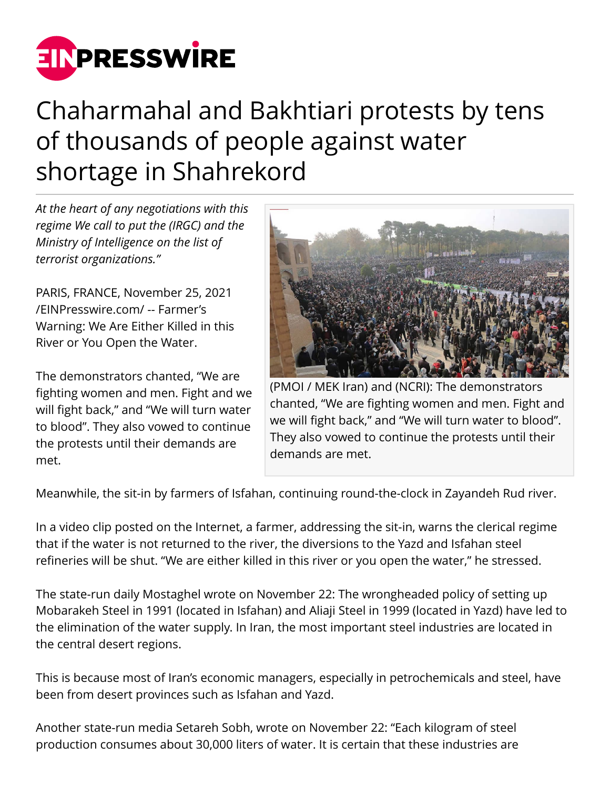

## Chaharmahal and Bakhtiari protests by tens of thousands of people against water shortage in Shahrekord

*At the heart of any negotiations with this regime We call to put the (IRGC) and the Ministry of Intelligence on the list of terrorist organizations."*

PARIS, FRANCE, November 25, 2021 [/EINPresswire.com/](http://www.einpresswire.com) -- Farmer's Warning: We Are Either Killed in this River or You Open the Water.

The demonstrators chanted, "We are fighting women and men. Fight and we will fight back," and "We will turn water to blood". They also vowed to continue the protests until their demands are met.



(PMOI / MEK Iran) and (NCRI): The demonstrators chanted, "We are fighting women and men. Fight and we will fight back," and "We will turn water to blood". They also vowed to continue the protests until their demands are met.

Meanwhile, the sit-in by farmers of Isfahan, continuing round-the-clock in Zayandeh Rud river.

In a video clip posted on the Internet, a farmer, addressing the sit-in, warns the clerical regime that if the water is not returned to the river, the diversions to the Yazd and Isfahan steel refineries will be shut. "We are either killed in this river or you open the water," he stressed.

The state-run daily Mostaghel wrote on November 22: The wrongheaded policy of setting up Mobarakeh Steel in 1991 (located in Isfahan) and Aliaji Steel in 1999 (located in Yazd) have led to the elimination of the water supply. In Iran, the most important steel industries are located in the central desert regions.

This is because most of Iran's economic managers, especially in petrochemicals and steel, have been from desert provinces such as Isfahan and Yazd.

Another state-run media Setareh Sobh, wrote on November 22: "Each kilogram of steel production consumes about 30,000 liters of water. It is certain that these industries are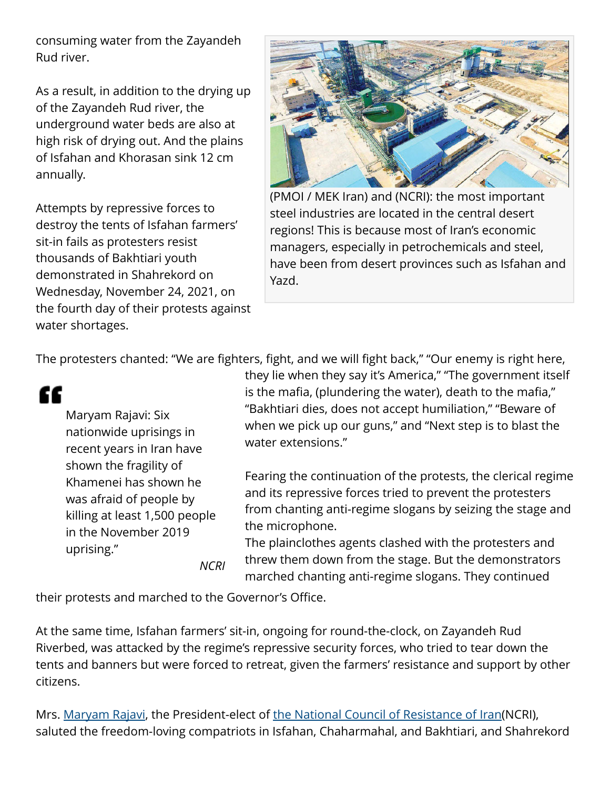consuming water from the Zayandeh Rud river.

As a result, in addition to the drying up of the Zayandeh Rud river, the underground water beds are also at high risk of drying out. And the plains of Isfahan and Khorasan sink 12 cm annually.

Attempts by repressive forces to destroy the tents of Isfahan farmers' sit-in fails as protesters resist thousands of Bakhtiari youth demonstrated in Shahrekord on Wednesday, November 24, 2021, on the fourth day of their protests against water shortages.



(PMOI / MEK Iran) and (NCRI): the most important steel industries are located in the central desert regions! This is because most of Iran's economic managers, especially in petrochemicals and steel, have been from desert provinces such as Isfahan and Yazd.

The protesters chanted: "We are fighters, fight, and we will fight back," "Our enemy is right here,

££ Maryam Rajavi: Six nationwide uprisings in recent years in Iran have shown the fragility of Khamenei has shown he was afraid of people by killing at least 1,500 people in the November 2019 uprising." *NCRI* they lie when they say it's America," "The government itself is the mafia, (plundering the water), death to the mafia," "Bakhtiari dies, does not accept humiliation," "Beware of when we pick up our guns," and "Next step is to blast the water extensions."

Fearing the continuation of the protests, the clerical regime and its repressive forces tried to prevent the protesters from chanting anti-regime slogans by seizing the stage and the microphone.

The plainclothes agents clashed with the protesters and threw them down from the stage. But the demonstrators marched chanting anti-regime slogans. They continued

their protests and marched to the Governor's Office.

At the same time, Isfahan farmers' sit-in, ongoing for round-the-clock, on Zayandeh Rud Riverbed, was attacked by the regime's repressive security forces, who tried to tear down the tents and banners but were forced to retreat, given the farmers' resistance and support by other citizens.

Mrs. [Maryam Rajavi,](https://www.maryam-rajavi.com/en/isphahan-agricultures-iran-protest/) the President-elect of [the National Council of Resistance of Iran\(](https://www.ncr-iran.org/en/ncri-statements/statement-iran-protest/fourth-day-of-chaharmahal-and-bakhtiari-protests/)NCRI), saluted the freedom-loving compatriots in Isfahan, Chaharmahal, and Bakhtiari, and Shahrekord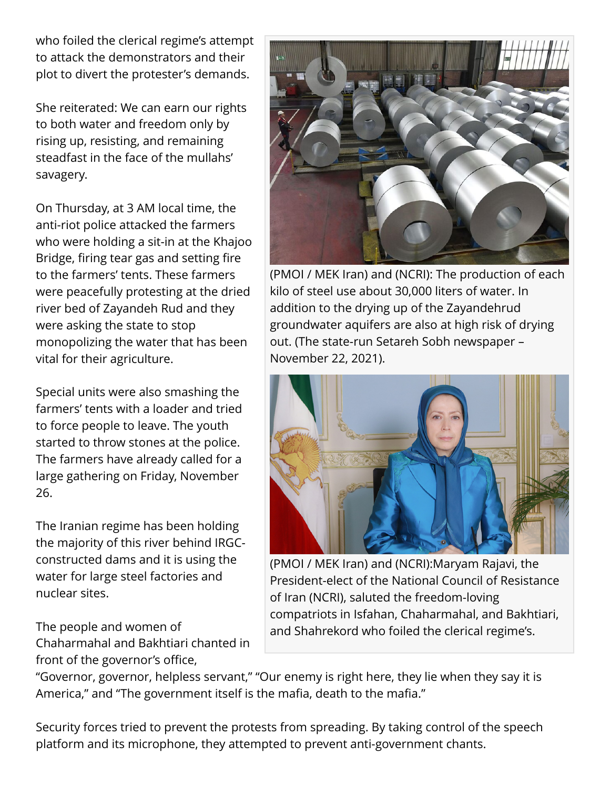who foiled the clerical regime's attempt to attack the demonstrators and their plot to divert the protester's demands.

She reiterated: We can earn our rights to both water and freedom only by rising up, resisting, and remaining steadfast in the face of the mullahs' savagery.

On Thursday, at 3 AM local time, the anti-riot police attacked the farmers who were holding a sit-in at the Khajoo Bridge, firing tear gas and setting fire to the farmers' tents. These farmers were peacefully protesting at the dried river bed of Zayandeh Rud and they were asking the state to stop monopolizing the water that has been vital for their agriculture.

Special units were also smashing the farmers' tents with a loader and tried to force people to leave. The youth started to throw stones at the police. The farmers have already called for a large gathering on Friday, November 26.

The Iranian regime has been holding the majority of this river behind IRGCconstructed dams and it is using the water for large steel factories and nuclear sites.

The people and women of Chaharmahal and Bakhtiari chanted in front of the governor's office,



(PMOI / MEK Iran) and (NCRI): The production of each kilo of steel use about 30,000 liters of water. In addition to the drying up of the Zayandehrud groundwater aquifers are also at high risk of drying out. (The state-run Setareh Sobh newspaper – November 22, 2021).



(PMOI / MEK Iran) and (NCRI):Maryam Rajavi, the President-elect of the National Council of Resistance of Iran (NCRI), saluted the freedom-loving compatriots in Isfahan, Chaharmahal, and Bakhtiari, and Shahrekord who foiled the clerical regime's.

"Governor, governor, helpless servant," "Our enemy is right here, they lie when they say it is America," and "The government itself is the mafia, death to the mafia."

Security forces tried to prevent the protests from spreading. By taking control of the speech platform and its microphone, they attempted to prevent anti-government chants.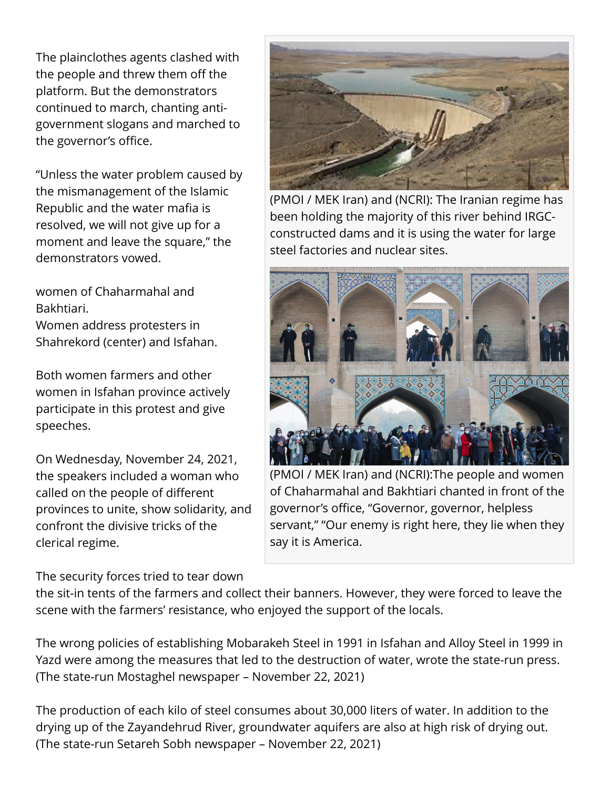The plainclothes agents clashed with the people and threw them off the platform. But the demonstrators continued to march, chanting antigovernment slogans and marched to the governor's office.

"Unless the water problem caused by the mismanagement of the Islamic Republic and the water mafia is resolved, we will not give up for a moment and leave the square," the demonstrators vowed.

women of Chaharmahal and Bakhtiari.

Women address protesters in Shahrekord (center) and Isfahan.

Both women farmers and other women in Isfahan province actively participate in this protest and give speeches.

On Wednesday, November 24, 2021, the speakers included a woman who called on the people of different provinces to unite, show solidarity, and confront the divisive tricks of the clerical regime.

The security forces tried to tear down



(PMOI / MEK Iran) and (NCRI): The Iranian regime has been holding the majority of this river behind IRGCconstructed dams and it is using the water for large steel factories and nuclear sites.



(PMOI / MEK Iran) and (NCRI):The people and women of Chaharmahal and Bakhtiari chanted in front of the governor's office, "Governor, governor, helpless servant," "Our enemy is right here, they lie when they say it is America.

the sit-in tents of the farmers and collect their banners. However, they were forced to leave the scene with the farmers' resistance, who enjoyed the support of the locals.

The wrong policies of establishing Mobarakeh Steel in 1991 in Isfahan and Alloy Steel in 1999 in Yazd were among the measures that led to the destruction of water, wrote the state-run press. (The state-run Mostaghel newspaper – November 22, 2021)

The production of each kilo of steel consumes about 30,000 liters of water. In addition to the drying up of the Zayandehrud River, groundwater aquifers are also at high risk of drying out. (The state-run Setareh Sobh newspaper – November 22, 2021)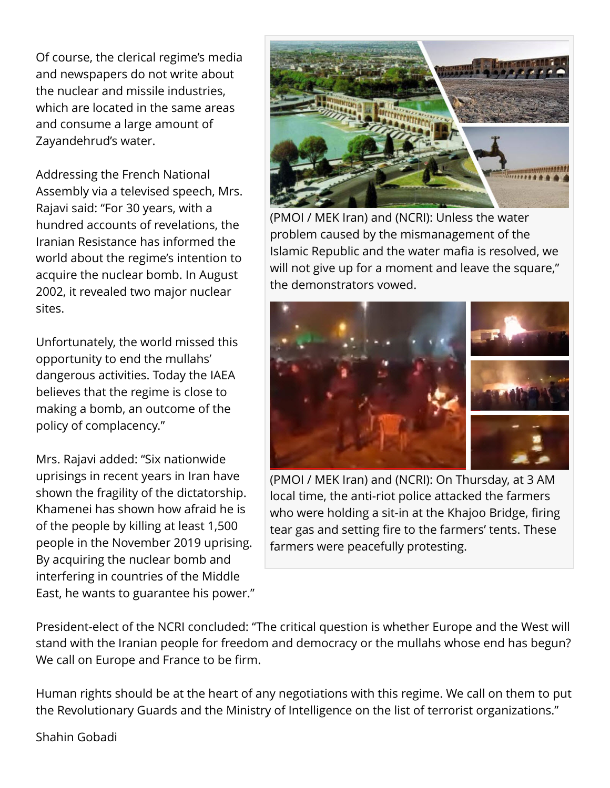Of course, the clerical regime's media and newspapers do not write about the nuclear and missile industries, which are located in the same areas and consume a large amount of Zayandehrud's water.

Addressing the French National Assembly via a televised speech, Mrs. Rajavi said: "For 30 years, with a hundred accounts of revelations, the Iranian Resistance has informed the world about the regime's intention to acquire the nuclear bomb. In August 2002, it revealed two major nuclear sites.

Unfortunately, the world missed this opportunity to end the mullahs' dangerous activities. Today the IAEA believes that the regime is close to making a bomb, an outcome of the policy of complacency."

Mrs. Rajavi added: "Six nationwide uprisings in recent years in Iran have shown the fragility of the dictatorship. Khamenei has shown how afraid he is of the people by killing at least 1,500 people in the November 2019 uprising. By acquiring the nuclear bomb and interfering in countries of the Middle East, he wants to guarantee his power."



(PMOI / MEK Iran) and (NCRI): Unless the water problem caused by the mismanagement of the Islamic Republic and the water mafia is resolved, we will not give up for a moment and leave the square," the demonstrators vowed.



(PMOI / MEK Iran) and (NCRI): On Thursday, at 3 AM local time, the anti-riot police attacked the farmers who were holding a sit-in at the Khajoo Bridge, firing tear gas and setting fire to the farmers' tents. These farmers were peacefully protesting.

President-elect of the NCRI concluded: "The critical question is whether Europe and the West will stand with the Iranian people for freedom and democracy or the mullahs whose end has begun? We call on Europe and France to be firm.

Human rights should be at the heart of any negotiations with this regime. We call on them to put the Revolutionary Guards and the Ministry of Intelligence on the list of terrorist organizations."

Shahin Gobadi